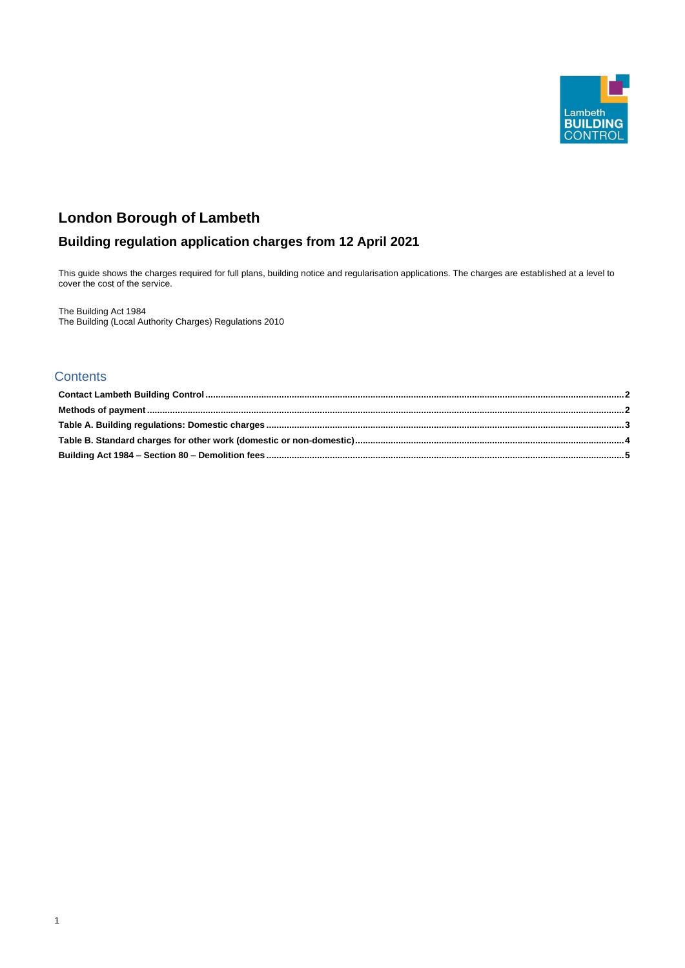1



# **London Borough of Lambeth**

## **Building regulation application charges from 12 April 2021**

This guide shows the charges required for full plans, building notice and regularisation applications. The charges are established at a level to cover the cost of the service.

The Building Act 1984 The Building (Local Authority Charges) Regulations 2010

## **Contents**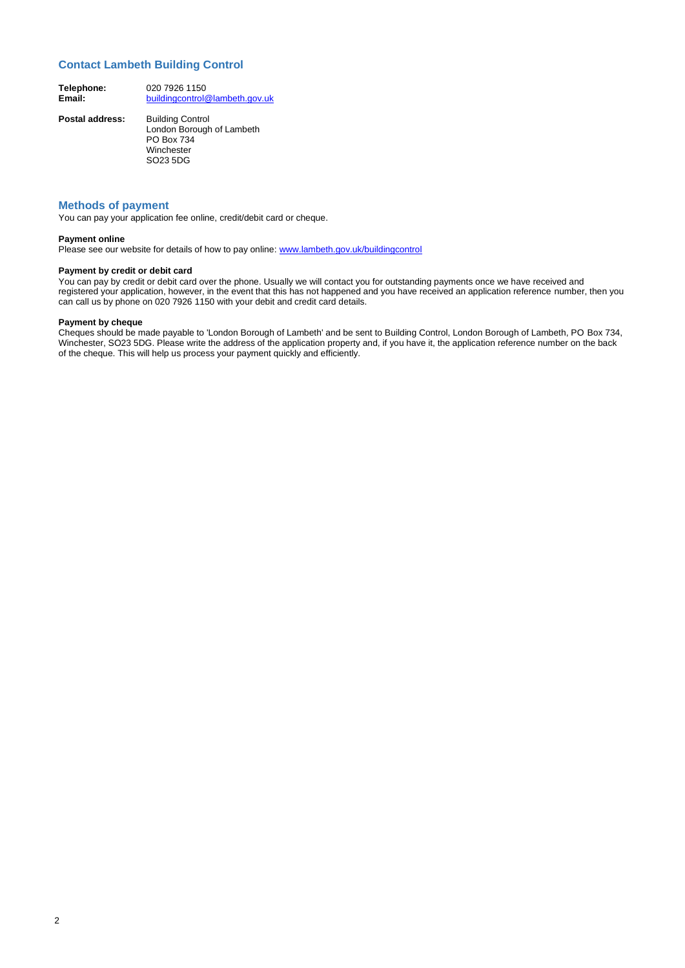#### 2

### <span id="page-1-0"></span>**Contact Lambeth Building Control**

| Telephone: | 020 7926 1150                  |
|------------|--------------------------------|
| Email:     | buildingcontrol@lambeth.gov.uk |

**Postal address:** Building Control London Borough of Lambeth PO Box 734 Winchester SO23 5DG

#### <span id="page-1-1"></span>**Methods of payment**

You can pay your application fee online, credit/debit card or cheque.

#### **Payment online**

Please see our website for details of how to pay online: [www.lambeth.gov.uk/buildingcontrol](http://www.lambeth.gov.uk/buildingcontrol)

#### **Payment by credit or debit card**

You can pay by credit or debit card over the phone. Usually we will contact you for outstanding payments once we have received and registered your application, however, in the event that this has not happened and you have received an application reference number, then you can call us by phone on 020 7926 1150 with your debit and credit card details.

#### **Payment by cheque**

Cheques should be made payable to 'London Borough of Lambeth' and be sent to Building Control, London Borough of Lambeth, PO Box 734, Winchester, SO23 5DG. Please write the address of the application property and, if you have it, the application reference number on the back of the cheque. This will help us process your payment quickly and efficiently.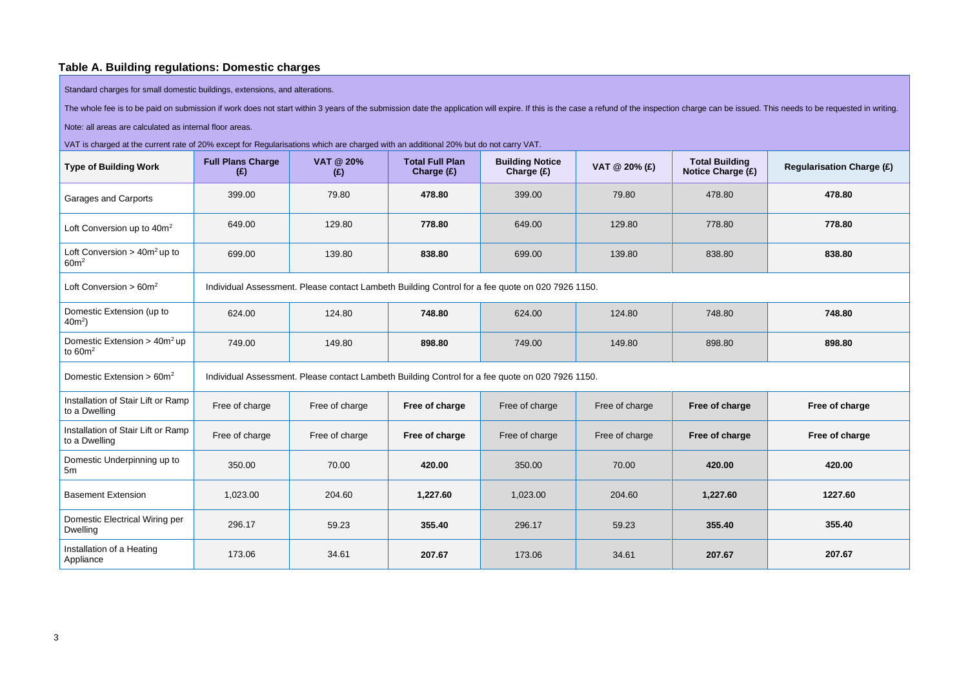## **Table A. Building regulations: Domestic charges**

Standard charges for small domestic buildings, extensions, and alterations.

The whole fee is to be paid on submission if work does not start within 3 years of the submission date the application will expire. If this is the case a refund of the inspection charge can be issued. This needs to be requ

Note: all areas are calculated as internal floor areas.

VAT is charged at the current rate of 20% except for Regularisations which are charged with an additional 20% but do not carry VAT.

<span id="page-2-0"></span>

| <b>Type of Building Work</b>                             | <b>Full Plans Charge</b><br>(E)                                                                  | <b>VAT @ 20%</b><br>(E) | <b>Total Full Plan</b><br>Charge (£) | <b>Building Notice</b><br>Charge (£) | VAT @ 20% (£)  | <b>Total Building</b><br><b>Notice Charge (£)</b> | <b>Regularisation Charge (£)</b> |  |
|----------------------------------------------------------|--------------------------------------------------------------------------------------------------|-------------------------|--------------------------------------|--------------------------------------|----------------|---------------------------------------------------|----------------------------------|--|
| <b>Garages and Carports</b>                              | 399.00                                                                                           | 79.80                   | 478.80                               | 399.00                               | 79.80          | 478.80                                            | 478.80                           |  |
| Loft Conversion up to 40m <sup>2</sup>                   | 649.00                                                                                           | 129.80                  | 778.80                               | 649.00                               | 129.80         | 778.80                                            | 778.80                           |  |
| Loft Conversion > $40m^2$ up to<br>60m <sup>2</sup>      | 699.00                                                                                           | 139.80                  | 838.80                               | 699.00                               | 139.80         | 838.80                                            | 838.80                           |  |
| Loft Conversion $> 60m^2$                                | Individual Assessment. Please contact Lambeth Building Control for a fee quote on 020 7926 1150. |                         |                                      |                                      |                |                                                   |                                  |  |
| Domestic Extension (up to<br>$40m^2$ )                   | 624.00                                                                                           | 124.80                  | 748.80                               | 624.00                               | 124.80         | 748.80                                            | 748.80                           |  |
| Domestic Extension $>$ 40m <sup>2</sup> up<br>to $60m^2$ | 749.00                                                                                           | 149.80                  | 898.80                               | 749.00                               | 149.80         | 898.80                                            | 898.80                           |  |
| Domestic Extension $> 60m^2$                             | Individual Assessment. Please contact Lambeth Building Control for a fee quote on 020 7926 1150. |                         |                                      |                                      |                |                                                   |                                  |  |
| Installation of Stair Lift or Ramp<br>to a Dwelling      | Free of charge                                                                                   | Free of charge          | Free of charge                       | Free of charge                       | Free of charge | Free of charge                                    | Free of charge                   |  |
| Installation of Stair Lift or Ramp<br>to a Dwelling      | Free of charge                                                                                   | Free of charge          | Free of charge                       | Free of charge                       | Free of charge | Free of charge                                    | Free of charge                   |  |
| Domestic Underpinning up to<br>5m                        | 350.00                                                                                           | 70.00                   | 420.00                               | 350.00                               | 70.00          | 420.00                                            | 420.00                           |  |
| <b>Basement Extension</b>                                | 1,023.00                                                                                         | 204.60                  | 1,227.60                             | 1,023.00                             | 204.60         | 1,227.60                                          | 1227.60                          |  |
| Domestic Electrical Wiring per<br><b>Dwelling</b>        | 296.17                                                                                           | 59.23                   | 355.40                               | 296.17                               | 59.23          | 355.40                                            | 355.40                           |  |
| Installation of a Heating<br>Appliance                   | 173.06                                                                                           | 34.61                   | 207.67                               | 173.06                               | 34.61          | 207.67                                            | 207.67                           |  |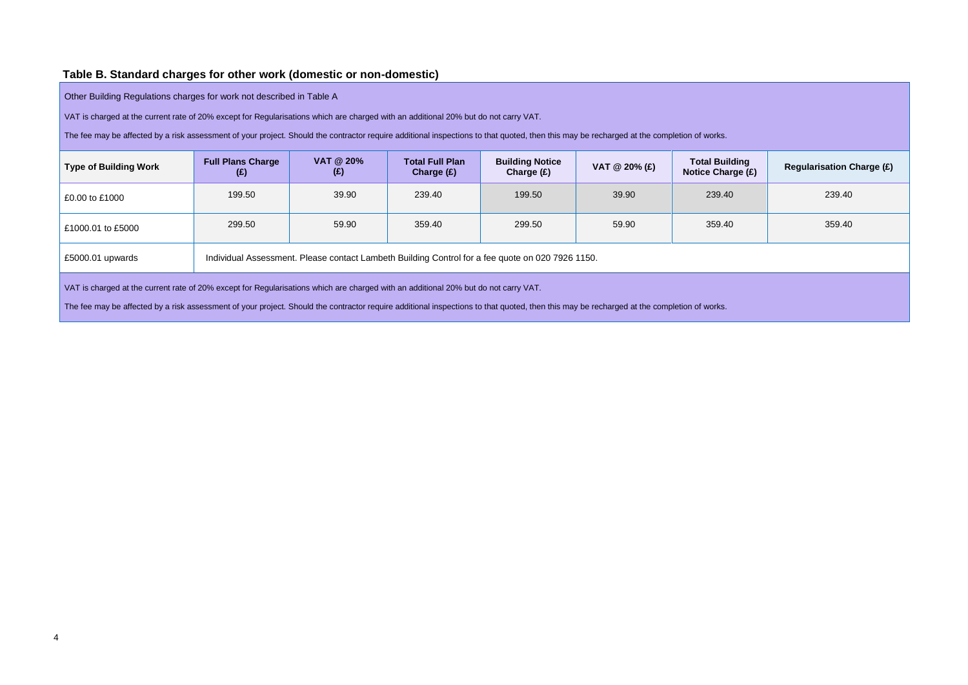## **Table B. Standard charges for other work (domestic or non-domestic)**

Other Building Regulations charges for work not described in Table A

VAT is charged at the current rate of 20% except for Regularisations which are charged with an additional 20% but do not carry VAT.

The fee may be affected by a risk assessment of your project. Should the contractor require additional inspections to that quoted, then this may be recharged at the completion of works.

| ion of works.                                     |                                  |
|---------------------------------------------------|----------------------------------|
| <b>Total Building</b><br><b>Notice Charge (£)</b> | <b>Regularisation Charge (£)</b> |
| 239.40                                            | 239.40                           |
| 359.40                                            | 359.40                           |
|                                                   |                                  |
|                                                   |                                  |

| <b>Type of Building Work</b> | <b>Full Plans Charge</b><br>(£) | <b>VAT @ 20%</b><br>(E)                                                                          | <b>Total Full Plan</b><br>Charge $(E)$ | <b>Building Notice</b><br>Charge $(E)$ | VAT $@$ 20% $(E)$ | <b>Total Building</b><br>Notice Charge (£) | <b>Regularisation</b> |
|------------------------------|---------------------------------|--------------------------------------------------------------------------------------------------|----------------------------------------|----------------------------------------|-------------------|--------------------------------------------|-----------------------|
| £0.00 to £1000               | 199.50                          | 39.90                                                                                            | 239.40                                 | 199.50                                 | 39.90             | 239.40                                     | 239.40                |
| £1000.01 to £5000            | 299.50                          | 59.90                                                                                            | 359.40                                 | 299.50                                 | 59.90             | 359.40                                     | 359.40                |
| $£5000.01$ upwards           |                                 | Individual Assessment. Please contact Lambeth Building Control for a fee quote on 020 7926 1150. |                                        |                                        |                   |                                            |                       |

VAT is charged at the current rate of 20% except for Regularisations which are charged with an additional 20% but do not carry VAT.

<span id="page-3-0"></span>The fee may be affected by a risk assessment of your project. Should the contractor require additional inspections to that quoted, then this may be recharged at the completion of works.